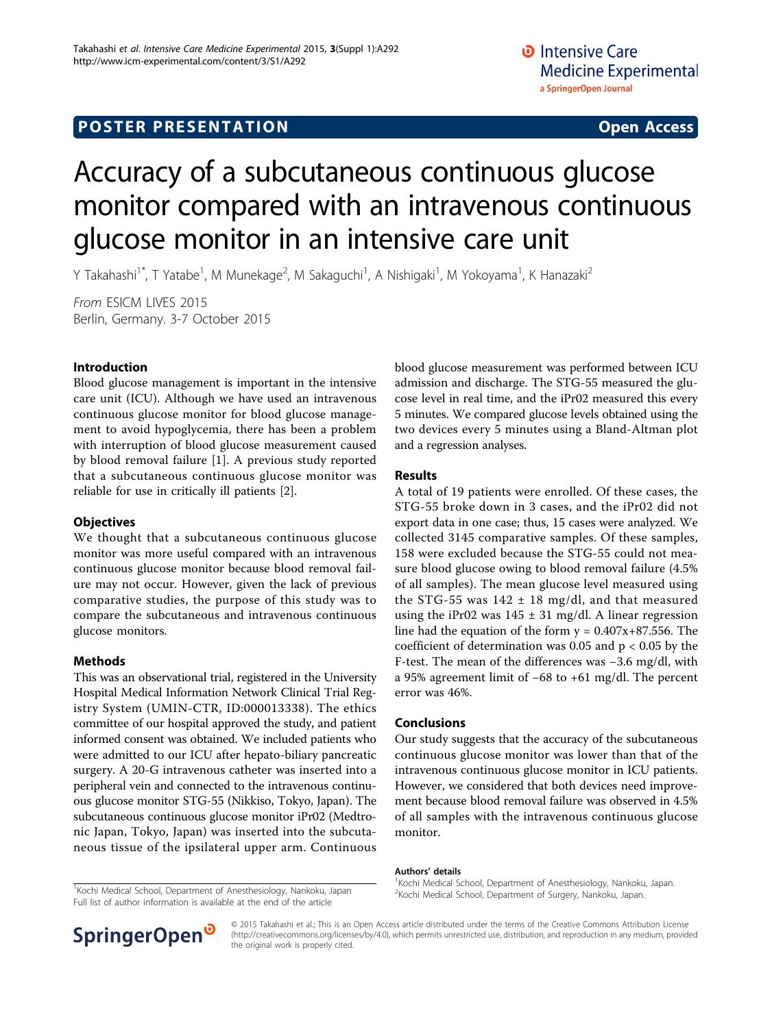# **POSTER PRESENTATION CONSUMING ACCESS**

# Accuracy of a subcutaneous continuous glucose monitor compared with an intravenous continuous glucose monitor in an intensive care unit

Y Takahashi<sup>1\*</sup>, T Yatabe<sup>1</sup>, M Munekage<sup>2</sup>, M Sakaguchi<sup>1</sup>, A Nishigaki<sup>1</sup>, M Yokoyama<sup>1</sup>, K Hanazaki<sup>2</sup>

From ESICM LIVES 2015 Berlin, Germany. 3-7 October 2015

### Introduction

Blood glucose management is important in the intensive care unit (ICU). Although we have used an intravenous continuous glucose monitor for blood glucose management to avoid hypoglycemia, there has been a problem with interruption of blood glucose measurement caused by blood removal failure [[1](#page-1-0)]. A previous study reported that a subcutaneous continuous glucose monitor was reliable for use in critically ill patients [\[2\]](#page-1-0).

#### **Objectives**

We thought that a subcutaneous continuous glucose monitor was more useful compared with an intravenous continuous glucose monitor because blood removal failure may not occur. However, given the lack of previous comparative studies, the purpose of this study was to compare the subcutaneous and intravenous continuous glucose monitors.

#### Methods

This was an observational trial, registered in the University Hospital Medical Information Network Clinical Trial Registry System (UMIN-CTR, ID:000013338). The ethics committee of our hospital approved the study, and patient informed consent was obtained. We included patients who were admitted to our ICU after hepato-biliary pancreatic surgery. A 20-G intravenous catheter was inserted into a peripheral vein and connected to the intravenous continuous glucose monitor STG-55 (Nikkiso, Tokyo, Japan). The subcutaneous continuous glucose monitor iPr02 (Medtronic Japan, Tokyo, Japan) was inserted into the subcutaneous tissue of the ipsilateral upper arm. Continuous blood glucose measurement was performed between ICU admission and discharge. The STG-55 measured the glucose level in real time, and the iPr02 measured this every 5 minutes. We compared glucose levels obtained using the two devices every 5 minutes using a Bland-Altman plot and a regression analyses.

#### Results

A total of 19 patients were enrolled. Of these cases, the STG-55 broke down in 3 cases, and the iPr02 did not export data in one case; thus, 15 cases were analyzed. We collected 3145 comparative samples. Of these samples, 158 were excluded because the STG-55 could not measure blood glucose owing to blood removal failure (4.5% of all samples). The mean glucose level measured using the STG-55 was  $142 \pm 18$  mg/dl, and that measured using the iPr02 was  $145 \pm 31$  mg/dl. A linear regression line had the equation of the form  $y = 0.407x + 87.556$ . The coefficient of determination was 0.05 and  $p < 0.05$  by the F-test. The mean of the differences was −3.6 mg/dl, with a 95% agreement limit of −68 to +61 mg/dl. The percent error was 46%.

#### Conclusions

Our study suggests that the accuracy of the subcutaneous continuous glucose monitor was lower than that of the intravenous continuous glucose monitor in ICU patients. However, we considered that both devices need improvement because blood removal failure was observed in 4.5% of all samples with the intravenous continuous glucose monitor.

#### Authors' details <sup>1</sup>

<sup>1</sup> Kochi Medical School, Department of Anesthesiology, Nankoku, Japan. <sup>2</sup> Kochi Medical School, Department of Surgery, Nankoku, Japan.



© 2015 Takahashi et al.; This is an Open Access article distributed under the terms of the Creative Commons Attribution License [\(http://creativecommons.org/licenses/by/4.0](http://creativecommons.org/licenses/by/4.0)), which permits unrestricted use, distribution, and reproduction in any medium, provided the original work is properly cited.

Kochi Medical School, Department of Surgery, Nankoku, Japan. <sup>1</sup> Kochi Medical School, Department of Anesthesiology, Nankoku, Japan Full list of author information is available at the end of the article